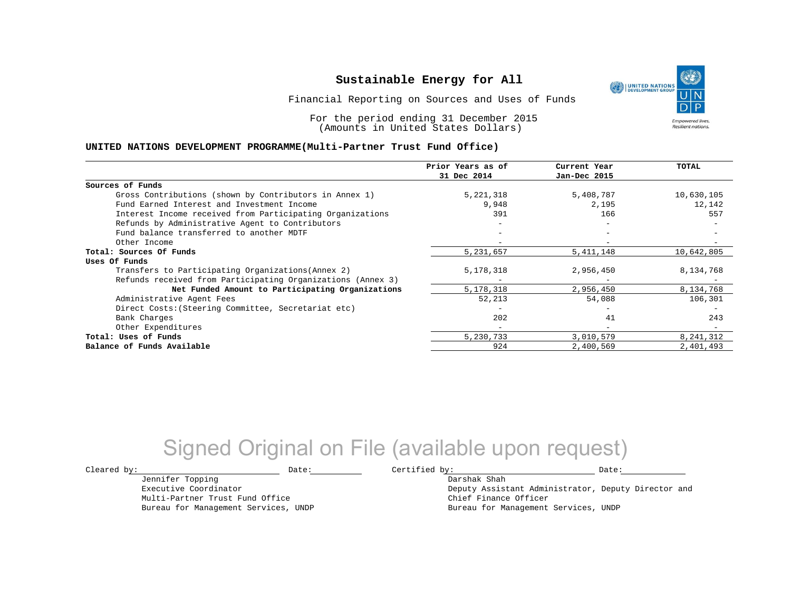UNITED NATIONS **Empowered lives Resilient nations.** 

Financial Reporting on Sources and Uses of Funds

For the period ending 31 December 2015 (Amounts in United States Dollars)

#### **UNITED NATIONS DEVELOPMENT PROGRAMME(Multi-Partner Trust Fund Office)**

|                                                             | Prior Years as of<br>31 Dec 2014 | Current Year<br>Jan-Dec 2015 | TOTAL      |
|-------------------------------------------------------------|----------------------------------|------------------------------|------------|
|                                                             |                                  |                              |            |
| Sources of Funds                                            |                                  |                              |            |
| Gross Contributions (shown by Contributors in Annex 1)      | 5,221,318                        | 5,408,787                    | 10,630,105 |
| Fund Earned Interest and Investment Income                  | 9,948                            | 2,195                        | 12,142     |
| Interest Income received from Participating Organizations   | 391                              | 166                          | 557        |
| Refunds by Administrative Agent to Contributors             |                                  | $\overline{\phantom{0}}$     |            |
| Fund balance transferred to another MDTF                    |                                  |                              |            |
| Other Income                                                |                                  |                              |            |
| Total: Sources Of Funds                                     | 5,231,657                        | 5,411,148                    | 10,642,805 |
| Uses Of Funds                                               |                                  |                              |            |
| Transfers to Participating Organizations (Annex 2)          | 5,178,318                        | 2,956,450                    | 8,134,768  |
| Refunds received from Participating Organizations (Annex 3) |                                  | $\overline{\phantom{m}}$     |            |
| Net Funded Amount to Participating Organizations            | 5,178,318                        | 2,956,450                    | 8,134,768  |
| Administrative Agent Fees                                   | 52,213                           | 54,088                       | 106,301    |
| Direct Costs: (Steering Committee, Secretariat etc)         |                                  |                              |            |
| Bank Charges                                                | 202                              | 41                           | 243        |
| Other Expenditures                                          | $-$                              | $\overline{\phantom{a}}$     |            |
| Total: Uses of Funds                                        | 5,230,733                        | 3,010,579                    | 8,241,312  |
| Balance of Funds Available                                  | 924                              | 2,400,569                    | 2,401,493  |

## Signed Original on File (available upon request)

 $\texttt{Cleared by:}\footnotesize \begin{minipage}{0.9\linewidth} \texttt{Date:}\footnotesize \begin{minipage}{0.9\linewidth} \texttt{Date:}\footnotesize \begin{minipage}{0.9\linewidth} \end{minipage} \end{minipage}$ 

Jennifer Topping Executive Coordinator

Multi-Partner Trust Fund Office Bureau for Management Services, UNDP

Darshak Shah Deputy Assistant Administrator, Deputy Director and Chief Finance Officer Bureau for Management Services, UNDP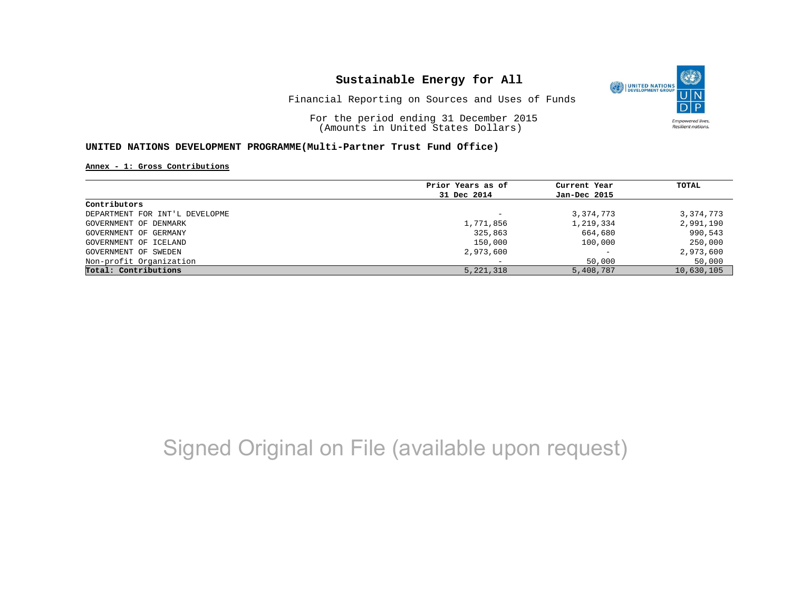

### Financial Reporting on Sources and Uses of Funds

For the period ending 31 December 2015 (Amounts in United States Dollars)

### **UNITED NATIONS DEVELOPMENT PROGRAMME(Multi-Partner Trust Fund Office)**

**Annex - 1: Gross Contributions**

|                                | Prior Years as of | Current Year             | TOTAL      |
|--------------------------------|-------------------|--------------------------|------------|
|                                |                   |                          |            |
|                                | 31 Dec 2014       | Jan-Dec 2015             |            |
| Contributors                   |                   |                          |            |
| DEPARTMENT FOR INT'L DEVELOPME |                   | 3,374,773                | 3,374,773  |
| GOVERNMENT OF DENMARK          | 1,771,856         | 1,219,334                | 2,991,190  |
| GOVERNMENT OF GERMANY          | 325,863           | 664,680                  | 990,543    |
| GOVERNMENT OF ICELAND          | 150,000           | 100,000                  | 250,000    |
| GOVERNMENT OF SWEDEN           | 2,973,600         | $\overline{\phantom{0}}$ | 2,973,600  |
| Non-profit Organization        |                   | 50,000                   | 50,000     |
| Total: Contributions           | 5, 221, 318       | 5,408,787                | 10,630,105 |

# Signed Original on File (available upon request)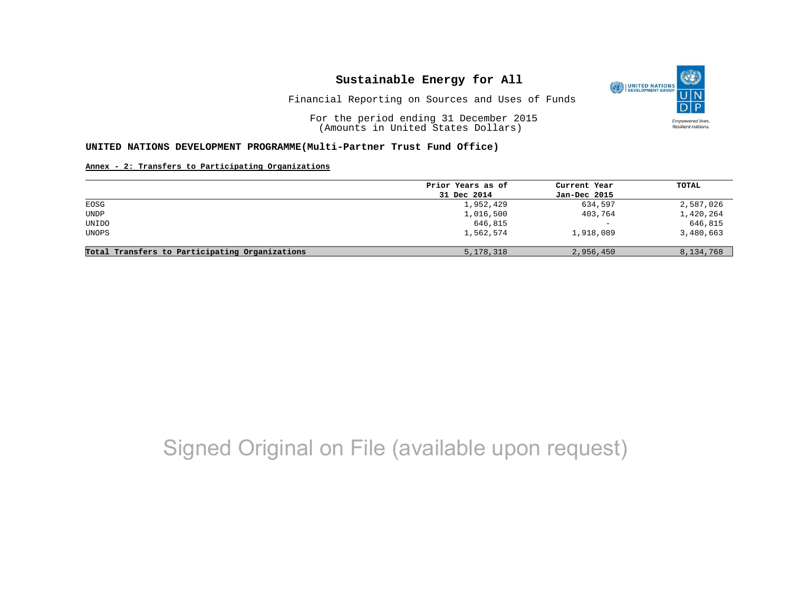

Financial Reporting on Sources and Uses of Funds

For the period ending 31 December 2015 (Amounts in United States Dollars)

#### **UNITED NATIONS DEVELOPMENT PROGRAMME(Multi-Partner Trust Fund Office)**

#### **Annex - 2: Transfers to Participating Organizations**

|                                                | Prior Years as of | Current Year             | TOTAL     |
|------------------------------------------------|-------------------|--------------------------|-----------|
|                                                | 31 Dec 2014       | Jan-Dec 2015             |           |
| EOSG                                           | 1,952,429         | 634,597                  | 2,587,026 |
| <b>UNDP</b>                                    | 1,016,500         | 403,764                  | 1,420,264 |
| UNIDO                                          | 646,815           | $\overline{\phantom{a}}$ | 646,815   |
| UNOPS                                          | 1,562,574         | 1,918,089                | 3,480,663 |
| Total Transfers to Participating Organizations | 5, 178, 318       | 2,956,450                | 8,134,768 |

## Signed Original on File (available upon request)